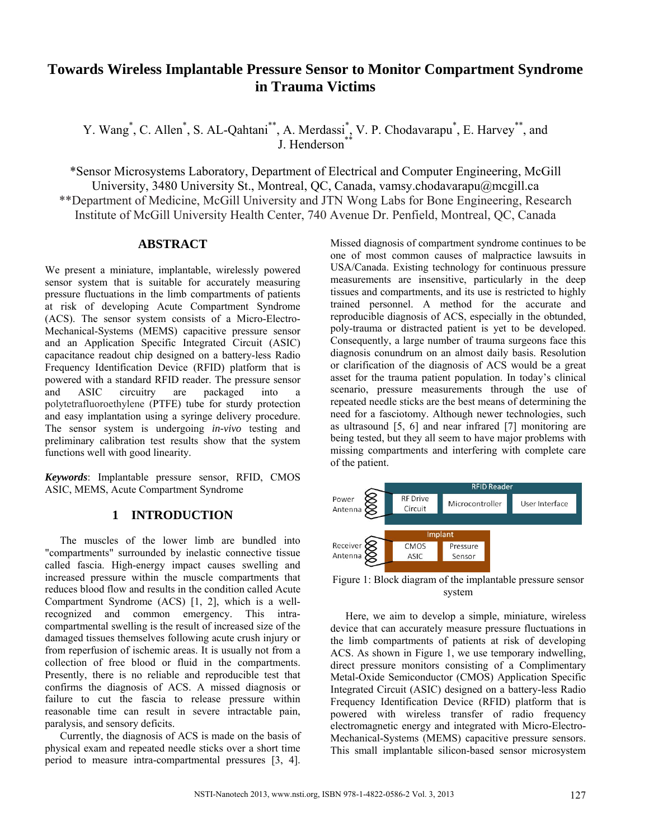# **Towards Wireless Implantable Pressure Sensor to Monitor Compartment Syndrome in Trauma Victims**

Y. Wang<sup>\*</sup>, C. Allen<sup>\*</sup>, S. AL-Qahtani<sup>\*\*</sup>, A. Merdassi<sup>\*</sup>, V. P. Chodavarapu<sup>\*</sup>, E. Harvey<sup>\*\*</sup>, and J. Henderson<sup>\*</sup>

\*Sensor Microsystems Laboratory, Department of Electrical and Computer Engineering, McGill University, 3480 University St., Montreal, QC, Canada, vamsy.chodavarapu@mcgill.ca \*\*Department of Medicine, McGill University and JTN Wong Labs for Bone Engineering, Research Institute of McGill University Health Center, 740 Avenue Dr. Penfield, Montreal, QC, Canada

## **ABSTRACT**

We present a miniature, implantable, wirelessly powered sensor system that is suitable for accurately measuring pressure fluctuations in the limb compartments of patients at risk of developing Acute Compartment Syndrome (ACS). The sensor system consists of a Micro-Electro-Mechanical-Systems (MEMS) capacitive pressure sensor and an Application Specific Integrated Circuit (ASIC) capacitance readout chip designed on a battery-less Radio Frequency Identification Device (RFID) platform that is powered with a standard RFID reader. The pressure sensor and ASIC circuitry are packaged into a polytetrafluoroethylene (PTFE) tube for sturdy protection and easy implantation using a syringe delivery procedure. The sensor system is undergoing *in-vivo* testing and preliminary calibration test results show that the system functions well with good linearity.

*Keywords*: Implantable pressure sensor, RFID, CMOS ASIC, MEMS, Acute Compartment Syndrome

## **1 INTRODUCTION**

The muscles of the lower limb are bundled into "compartments" surrounded by inelastic connective tissue called fascia. High-energy impact causes swelling and increased pressure within the muscle compartments that reduces blood flow and results in the condition called Acute Compartment Syndrome (ACS) [1, 2], which is a wellrecognized and common emergency. This intracompartmental swelling is the result of increased size of the damaged tissues themselves following acute crush injury or from reperfusion of ischemic areas. It is usually not from a collection of free blood or fluid in the compartments. Presently, there is no reliable and reproducible test that confirms the diagnosis of ACS. A missed diagnosis or failure to cut the fascia to release pressure within reasonable time can result in severe intractable pain, paralysis, and sensory deficits.

Currently, the diagnosis of ACS is made on the basis of physical exam and repeated needle sticks over a short time period to measure intra-compartmental pressures [3, 4]. Missed diagnosis of compartment syndrome continues to be one of most common causes of malpractice lawsuits in USA/Canada. Existing technology for continuous pressure measurements are insensitive, particularly in the deep tissues and compartments, and its use is restricted to highly trained personnel. A method for the accurate and reproducible diagnosis of ACS, especially in the obtunded, poly-trauma or distracted patient is yet to be developed. Consequently, a large number of trauma surgeons face this diagnosis conundrum on an almost daily basis. Resolution or clarification of the diagnosis of ACS would be a great asset for the trauma patient population. In today's clinical scenario, pressure measurements through the use of repeated needle sticks are the best means of determining the need for a fasciotomy. Although newer technologies, such as ultrasound [5, 6] and near infrared [7] monitoring are being tested, but they all seem to have major problems with missing compartments and interfering with complete care of the patient.



Figure 1: Block diagram of the implantable pressure sensor system

Here, we aim to develop a simple, miniature, wireless device that can accurately measure pressure fluctuations in the limb compartments of patients at risk of developing ACS. As shown in Figure 1, we use temporary indwelling, direct pressure monitors consisting of a Complimentary Metal-Oxide Semiconductor (CMOS) Application Specific Integrated Circuit (ASIC) designed on a battery-less Radio Frequency Identification Device (RFID) platform that is powered with wireless transfer of radio frequency electromagnetic energy and integrated with Micro-Electro-Mechanical-Systems (MEMS) capacitive pressure sensors. This small implantable silicon-based sensor microsystem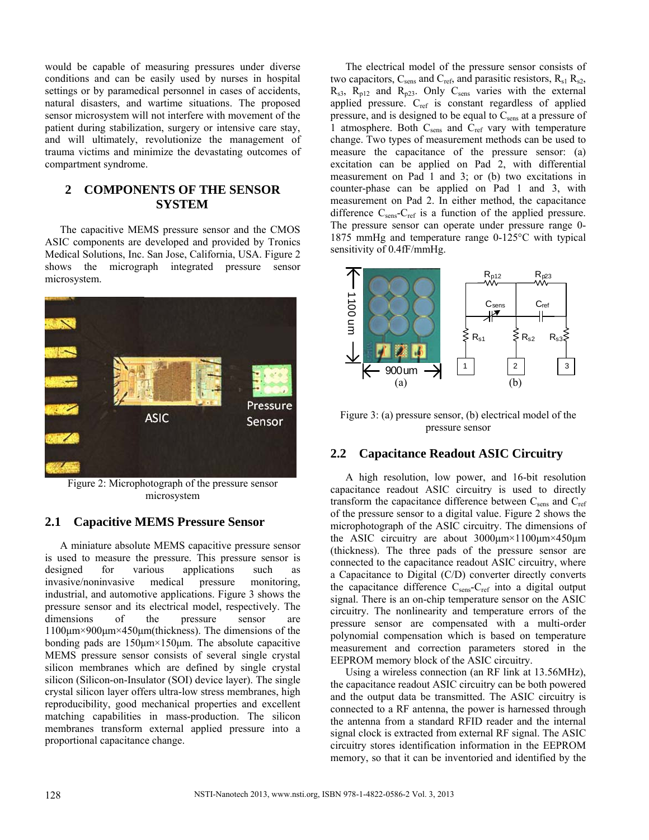would be capable of measuring pressures under diverse conditions and can be easily used by nurses in hospital settings or by paramedical personnel in cases of accidents, natural disasters, and wartime situations. The proposed sensor microsystem will not interfere with movement of the patient during stabilization, surgery or intensive care stay, and will ultimately, revolutionize the management of trauma victims and minimize the devastating outcomes of compartment syndrome.

## **2 COMPONENTS OF THE SENSOR SYSTEM**

The capacitive MEMS pressure sensor and the CMOS ASIC components are developed and provided by Tronics Medical Solutions, Inc. San Jose, California, USA. Figure 2 shows the micrograph integrated pressure sensor microsystem.



Figure 2: Microphotograph of the pressure sensor microsystem

## **2.1 Capacitive MEMS Pressure Sensor**

A miniature absolute MEMS capacitive pressure sensor is used to measure the pressure. This pressure sensor is designed for various applications such as invasive/noninvasive medical pressure monitoring, industrial, and automotive applications. Figure 3 shows the pressure sensor and its electrical model, respectively. The dimensions of the pressure sensor are 1100μm×900μm×450μm(thickness). The dimensions of the bonding pads are  $150 \mu m \times 150 \mu m$ . The absolute capacitive MEMS pressure sensor consists of several single crystal silicon membranes which are defined by single crystal silicon (Silicon-on-Insulator (SOI) device layer). The single crystal silicon layer offers ultra-low stress membranes, high reproducibility, good mechanical properties and excellent matching capabilities in mass-production. The silicon membranes transform external applied pressure into a proportional capacitance change.

The electrical model of the pressure sensor consists of two capacitors,  $C_{\text{sens}}$  and  $C_{\text{ref}}$ , and parasitic resistors,  $R_{s1}$ ,  $R_{s2}$ ,  $R_{s3}$ ,  $R_{p12}$  and  $R_{p23}$ . Only  $C_{sens}$  varies with the external applied pressure. C<sub>ref</sub> is constant regardless of applied pressure, and is designed to be equal to  $C_{\text{sens}}$  at a pressure of 1 atmosphere. Both C<sub>sens</sub> and C<sub>ref</sub> vary with temperature change. Two types of measurement methods can be used to measure the capacitance of the pressure sensor: (a) excitation can be applied on Pad 2, with differential measurement on Pad 1 and 3; or (b) two excitations in counter-phase can be applied on Pad 1 and 3, with measurement on Pad 2. In either method, the capacitance difference  $C_{\text{sens}}-C_{\text{ref}}$  is a function of the applied pressure. The pressure sensor can operate under pressure range 0- 1875 mmHg and temperature range 0-125°C with typical sensitivity of 0.4fF/mmHg.



Figure 3: (a) pressure sensor, (b) electrical model of the pressure sensor

## **2.2 Capacitance Readout ASIC Circuitry**

A high resolution, low power, and 16-bit resolution capacitance readout ASIC circuitry is used to directly transform the capacitance difference between  $C_{\text{sens}}$  and  $C_{\text{ref}}$ of the pressure sensor to a digital value. Figure 2 shows the microphotograph of the ASIC circuitry. The dimensions of the ASIC circuitry are about 3000μm×1100μm×450μm (thickness). The three pads of the pressure sensor are connected to the capacitance readout ASIC circuitry, where a Capacitance to Digital (C/D) converter directly converts the capacitance difference  $C_{\text{sens}}-C_{\text{ref}}$  into a digital output signal. There is an on-chip temperature sensor on the ASIC circuitry. The nonlinearity and temperature errors of the pressure sensor are compensated with a multi-order polynomial compensation which is based on temperature measurement and correction parameters stored in the EEPROM memory block of the ASIC circuitry.

Using a wireless connection (an RF link at 13.56MHz), the capacitance readout ASIC circuitry can be both powered and the output data be transmitted. The ASIC circuitry is connected to a RF antenna, the power is harnessed through the antenna from a standard RFID reader and the internal signal clock is extracted from external RF signal. The ASIC circuitry stores identification information in the EEPROM memory, so that it can be inventoried and identified by the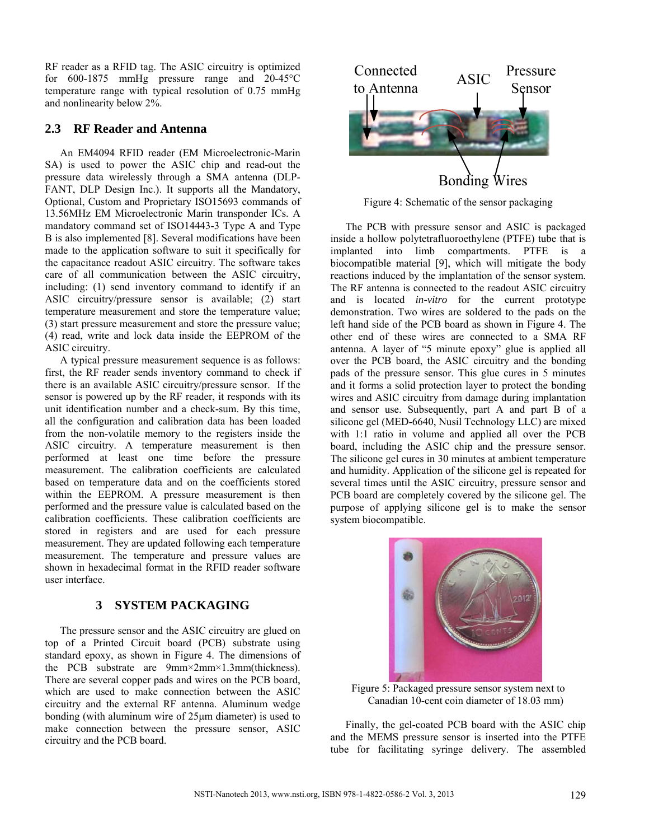RF reader as a RFID tag. The ASIC circuitry is optimized for 600-1875 mmHg pressure range and 20-45°C temperature range with typical resolution of 0.75 mmHg and nonlinearity below 2%.

#### **2.3 RF Reader and Antenna**

An EM4094 RFID reader (EM Microelectronic-Marin SA) is used to power the ASIC chip and read-out the pressure data wirelessly through a SMA antenna (DLP-FANT, DLP Design Inc.). It supports all the Mandatory, Optional, Custom and Proprietary ISO15693 commands of 13.56MHz EM Microelectronic Marin transponder ICs. A mandatory command set of ISO14443-3 Type A and Type B is also implemented [8]. Several modifications have been made to the application software to suit it specifically for the capacitance readout ASIC circuitry. The software takes care of all communication between the ASIC circuitry, including: (1) send inventory command to identify if an ASIC circuitry/pressure sensor is available; (2) start temperature measurement and store the temperature value; (3) start pressure measurement and store the pressure value; (4) read, write and lock data inside the EEPROM of the ASIC circuitry.

A typical pressure measurement sequence is as follows: first, the RF reader sends inventory command to check if there is an available ASIC circuitry/pressure sensor. If the sensor is powered up by the RF reader, it responds with its unit identification number and a check-sum. By this time, all the configuration and calibration data has been loaded from the non-volatile memory to the registers inside the ASIC circuitry. A temperature measurement is then performed at least one time before the pressure measurement. The calibration coefficients are calculated based on temperature data and on the coefficients stored within the EEPROM. A pressure measurement is then performed and the pressure value is calculated based on the calibration coefficients. These calibration coefficients are stored in registers and are used for each pressure measurement. They are updated following each temperature measurement. The temperature and pressure values are shown in hexadecimal format in the RFID reader software user interface.

## **3 SYSTEM PACKAGING**

The pressure sensor and the ASIC circuitry are glued on top of a Printed Circuit board (PCB) substrate using standard epoxy, as shown in Figure 4. The dimensions of the PCB substrate are 9mm×2mm×1.3mm(thickness). There are several copper pads and wires on the PCB board, which are used to make connection between the ASIC circuitry and the external RF antenna. Aluminum wedge bonding (with aluminum wire of 25μm diameter) is used to make connection between the pressure sensor, ASIC circuitry and the PCB board.



Figure 4: Schematic of the sensor packaging

The PCB with pressure sensor and ASIC is packaged inside a hollow polytetrafluoroethylene (PTFE) tube that is implanted into limb compartments. PTFE is a biocompatible material [9], which will mitigate the body reactions induced by the implantation of the sensor system. The RF antenna is connected to the readout ASIC circuitry and is located *in-vitro* for the current prototype demonstration. Two wires are soldered to the pads on the left hand side of the PCB board as shown in Figure 4. The other end of these wires are connected to a SMA RF antenna. A layer of "5 minute epoxy" glue is applied all over the PCB board, the ASIC circuitry and the bonding pads of the pressure sensor. This glue cures in 5 minutes and it forms a solid protection layer to protect the bonding wires and ASIC circuitry from damage during implantation and sensor use. Subsequently, part A and part B of a silicone gel (MED-6640, Nusil Technology LLC) are mixed with 1:1 ratio in volume and applied all over the PCB board, including the ASIC chip and the pressure sensor. The silicone gel cures in 30 minutes at ambient temperature and humidity. Application of the silicone gel is repeated for several times until the ASIC circuitry, pressure sensor and PCB board are completely covered by the silicone gel. The purpose of applying silicone gel is to make the sensor system biocompatible.



Figure 5: Packaged pressure sensor system next to Canadian 10-cent coin diameter of 18.03 mm)

Finally, the gel-coated PCB board with the ASIC chip and the MEMS pressure sensor is inserted into the PTFE tube for facilitating syringe delivery. The assembled